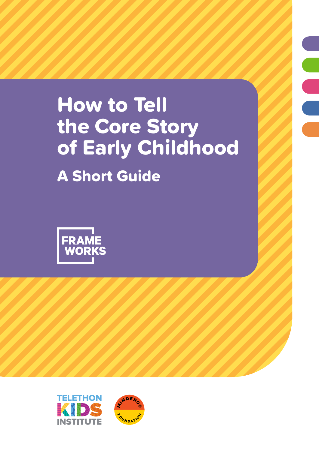# How to Tell the Core Story of Early Childhood

A Short Guide







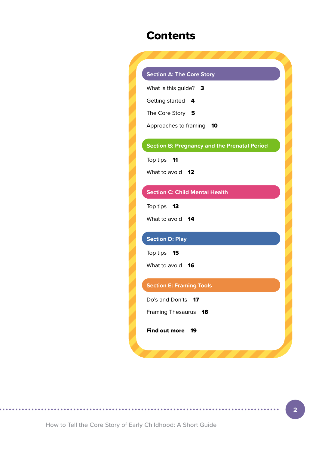## **Contents**



**\*\*\*\*\*\*\*\*\*\*\*** 

. . . . . . . . . . . . .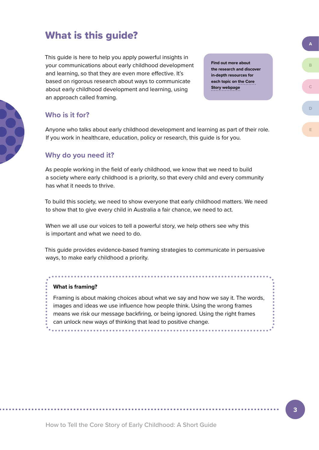## <span id="page-2-0"></span>What is this guide?

This guide is here to help you apply powerful insights in your communications about early childhood development and learning, so that they are even more effective. It's based on rigorous research about ways to communicate about early childhood development and learning, using an approach called framing.

**Find out more about the research and discover in-depth resources for each topic on [the Core](https://www.telethonkids.org.au/projects/HPER/core-story/)  [Story webpage](https://www.telethonkids.org.au/projects/HPER/core-story/)**

## **Who is it for?**

Anyone who talks about early childhood development and learning as part of their role. If you work in healthcare, education, policy or research, this guide is for you.

### **Why do you need it?**

As people working in the field of early childhood, we know that we need to build a society where early childhood is a priority, so that every child and every community has what it needs to thrive.

To build this society, we need to show everyone that early childhood matters. We need to show that to give every child in Australia a fair chance, we need to act.

When we all use our voices to tell a powerful story, we help others see why this is important and what we need to do.

This guide provides evidence-based framing strategies to communicate in persuasive ways, to make early childhood a priority.

#### **What is framing?**

Framing is about making choices about what we say and how we say it. The words, images and ideas we use influence how people think. Using the wrong frames means we risk our message backfiring, or being ignored. Using the right frames can unlock new ways of thinking that lead to positive change.

**A**

**[C](#page-12-0)**

**[D](#page-14-0)**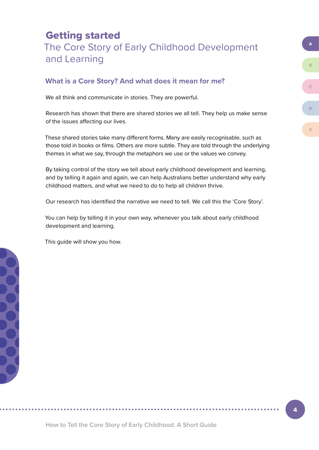## <span id="page-3-0"></span>Getting started The Core Story of Early Childhood Development and Learning

### **What is a Core Story? And what does it mean for me?**

We all think and communicate in stories. They are powerful.

Research has shown that there are shared stories we all tell. They help us make sense of the issues affecting our lives.

These shared stories take many different forms. Many are easily recognisable, such as those told in books or films. Others are more subtle. They are told through the underlying themes in what we say, through the metaphors we use or the values we convey.

By taking control of the story we tell about early childhood development and learning, and by telling it again and again, we can help Australians better understand why early childhood matters, and what we need to do to help all children thrive.

Our research has identified the narrative we need to tell. We call this the 'Core Story'.

You can help by telling it in your own way, whenever you talk about early childhood development and learning.

This guide will show you how.

**[E](#page-16-0)**

**[B](#page-10-0)**

**[A](#page-2-0)**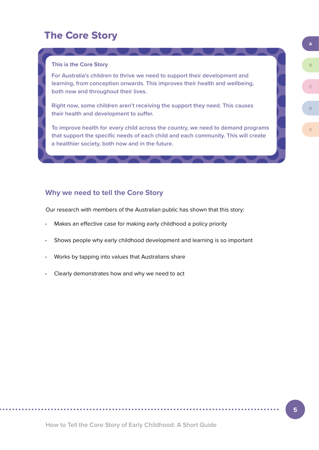## <span id="page-4-0"></span>The Core Story

#### **This is the Core Story**

**For Australia's children to thrive we need to support their development and learning, from conception onwards. This improves their health and wellbeing, both now and throughout their lives.**

**Right now, some children aren't receiving the support they need. This causes their health and development to suffer.** 

**To improve health for every child across the country, we need to demand programs that support the specific needs of each child and each community. This will create a healthier society, both now and in the future.**

## **Why we need to tell the Core Story**

Our research with members of the Australian public has shown that this story:

- Makes an effective case for making early childhood a policy priority
- Shows people why early childhood development and learning is so important
- Works by tapping into values that Australians share
- Clearly demonstrates how and why we need to act

**[E](#page-16-0)**

**[B](#page-10-0)**

**[A](#page-2-0)**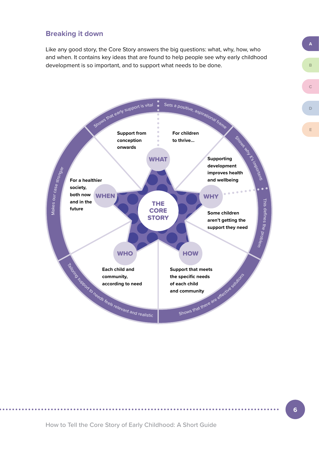## **Breaking it down**

Like any good story, the Core Story answers the big questions: what, why, how, who and when. It contains key ideas that are found to help people see why early childhood development is so important, and to support what needs to be done.



**[D](#page-14-0)**

**[B](#page-10-0)**

**[A](#page-2-0)**

**[C](#page-12-0)**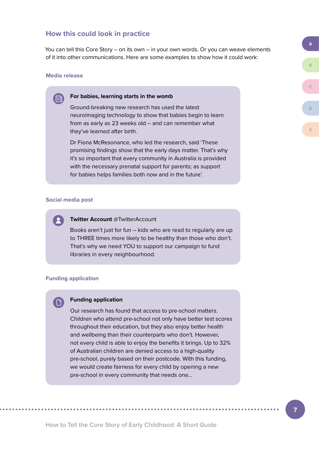### **How this could look in practice**

You can tell this Core Story – on its own – in your own words. Or you can weave elements of it into other communications. Here are some examples to show how it could work:

#### **Media release**

【目】

#### **For babies, learning starts in the womb**

Ground-breaking new research has used the latest neuroimaging technology to show that babies begin to learn from as early as 23 weeks old – and can remember what they've learned after birth.

Dr Fiona McResonance, who led the research, said 'These promising findings show that the early days matter. That's why it's so important that every community in Australia is provided with the necessary prenatal support for parents; as support for babies helps families both now and in the future'.

#### **Social media post**

**Twitter Account** @TwitterAccount

Books aren't just for fun – kids who are read to regularly are up to THREE times more likely to be healthy than those who don't. That's why we need YOU to support our campaign to fund libraries in every neighbourhood.

#### **Funding application**

(n

#### **Funding application**

Our research has found that access to pre-school matters. Children who attend pre-school not only have better test scores throughout their education, but they also enjoy better health and wellbeing than their counterparts who don't. However, not every child is able to enjoy the benefits it brings. Up to 32% of Australian children are denied access to a high-quality pre-school, purely based on their postcode. With this funding, we would create fairness for every child by opening a new pre-school in every community that needs one…

**[B](#page-10-0)**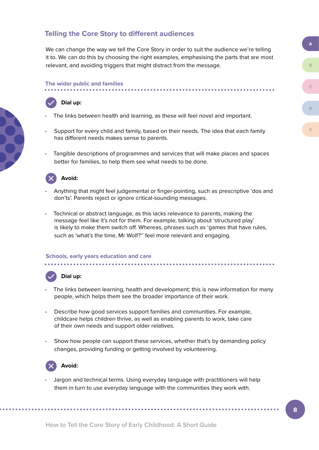### **Telling the Core Story to different audiences**

We can change the way we tell the Core Story in order to suit the audience we're telling it to. We can do this by choosing the right examples, emphasising the parts that are most relevant, and avoiding triggers that might distract from the message.

#### **The wider public and families**



#### **Dial up:**

- The links between health and learning, as these will feel novel and important.
- Support for every child and family, based on their needs. The idea that each family has different needs makes sense to parents.
- Tangible descriptions of programmes and services that will make places and spaces better for families, to help them see what needs to be done.



- Anything that might feel judgemental or finger-pointing, such as prescriptive 'dos and don'ts'. Parents reject or ignore critical-sounding messages.
- Technical or abstract language, as this lacks relevance to parents, making the message feel like it's not for them. For example, talking about 'structured play' is likely to make them switch off. Whereas, phrases such as 'games that have rules, such as 'what's the time, Mr Wolf?'' feel more relevant and engaging.

#### **Schools, early years education and care**



- The links between learning, health and development; this is new information for many people, which helps them see the broader importance of their work.
- Describe how good services support families and communities. For example, childcare helps children thrive, as well as enabling parents to work, take care of their own needs and support older relatives.
- Show how people can support these services, whether that's by demanding policy changes, providing funding or getting involved by volunteering.



#### **Avoid:**

• Jargon and technical terms. Using everyday language with practitioners will help them in turn to use everyday language with the communities they work with.

**[A](#page-2-0)**

**[C](#page-12-0)**

**[E](#page-16-0)**

. . . . . . . . . . . . . .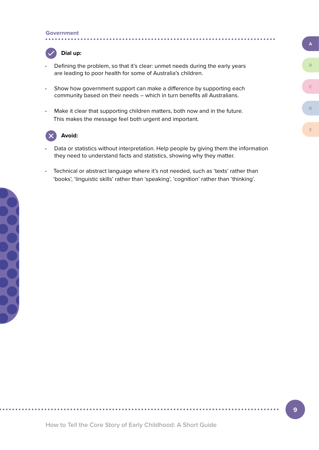#### **Government**



#### **Dial up:**

- Defining the problem, so that it's clear: unmet needs during the early years are leading to poor health for some of Australia's children.
- Show how government support can make a difference by supporting each community based on their needs – which in turn benefits all Australians.
- Make it clear that supporting children matters, both now and in the future. This makes the message feel both urgent and important.



### **Avoid:**

- Data or statistics without interpretation. Help people by giving them the information they need to understand facts and statistics, showing why they matter.
- Technical or abstract language where it's not needed, such as 'texts' rather than 'books', 'linguistic skills' rather than 'speaking', 'cognition' rather than 'thinking'.

**[B](#page-10-0)**

**[C](#page-12-0)**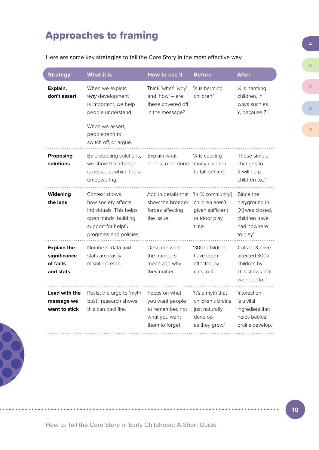## <span id="page-9-0"></span>Approaches to framing

Here are some key strategies to tell the Core Story in the most effective way.

| <b>Strategy</b>                                             | <b>What it is</b>                                                                                                                               | How to use it                                                                            | <b>Before</b>                                                                         | <b>After</b>                                                                               |
|-------------------------------------------------------------|-------------------------------------------------------------------------------------------------------------------------------------------------|------------------------------------------------------------------------------------------|---------------------------------------------------------------------------------------|--------------------------------------------------------------------------------------------|
| Explain,<br>don't assert                                    | When we explain<br>why development<br>is important, we help<br>people understand.<br>When we assert,<br>people tend to<br>switch off, or argue. | Think 'what' 'why'<br>and 'how' $-$ are<br>these covered off<br>in the message?          | 'X is harming<br>children.'                                                           | 'X is harming<br>children, in<br>ways such as<br>Y, because Z.'                            |
| Proposing<br>solutions                                      | By proposing solutions,<br>we show that change<br>is possible, which feels<br>empowering.                                                       | Explain what<br>needs to be done. many children                                          | 'X is causing<br>to fall behind.'                                                     | 'These simple<br>changes to<br>X will help<br>children to'                                 |
| Widening<br>the lens                                        | Context shows<br>how society affects<br>individuals. This helps<br>open minds, building<br>support for helpful<br>programs and policies.        | Add in details that<br>show the broader<br>forces affecting<br>the issue.                | 'In [X community]<br>children aren't<br>given sufficient<br>outdoor play<br>time'     | 'Since the<br>playground in<br>[X] was closed,<br>children have<br>had nowhere<br>to play' |
| <b>Explain the</b><br>significance<br>of facts<br>and stats | Numbers, data and<br>stats are easily<br>misinterpreted.                                                                                        | Describe what<br>the numbers<br>mean and why<br>they matter.                             | '300k children<br>have been<br>affected by<br>cuts to X.'                             | 'Cuts to X have<br>affected 300k<br>children by<br>This shows that<br>we need to'          |
| Lead with the<br>message we<br>want to stick                | Resist the urge to 'myth<br>bust'; research shows<br>this can backfire.                                                                         | Focus on what<br>you want people<br>to remember, not<br>what you want<br>them to forget. | 'It's a myth that<br>children's brains<br>just naturally<br>develop<br>as they grow.' | 'Interaction<br>is a vital<br>ingredient that<br>helps babies'<br>brains develop.'         |



How to Tell the Core Story of Early Childhood: A Short Guide

**10**

**[B](#page-10-0)**

**[A](#page-2-0)**

**[D](#page-14-0)**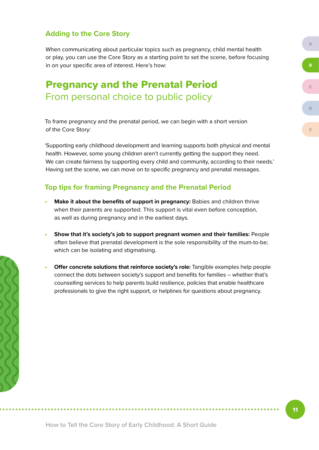## <span id="page-10-0"></span>**Adding to the Core Story**

When communicating about particular topics such as pregnancy, child mental health or play, you can use the Core Story as a starting point to set the scene, before focusing in on your specific area of interest. Here's how:

## Pregnancy and the Prenatal Period From personal choice to public policy

To frame pregnancy and the prenatal period, we can begin with a short version of the Core Story:

'Supporting early childhood development and learning supports both physical and mental health. However, some young children aren't currently getting the support they need. We can create fairness by supporting every child and community, according to their needs.' Having set the scene, we can move on to specific pregnancy and prenatal messages.

## **Top tips for framing Pregnancy and the Prenatal Period**

- **• Make it about the benefits of support in pregnancy:** Babies and children thrive when their parents are supported. This support is vital even before conception, as well as during pregnancy and in the earliest days.
- **• Show that it's society's job to support pregnant women and their families:** People often believe that prenatal development is the sole responsibility of the mum-to-be; which can be isolating and stigmatising.
- **• Offer concrete solutions that reinforce society's role:** Tangible examples help people connect the dots between society's support and benefits for families – whether that's counselling services to help parents build resilience, policies that enable healthcare professionals to give the right support, or helplines for questions about pregnancy.

**[A](#page-2-0)**

**B**

**[C](#page-12-0) [D](#page-14-0)**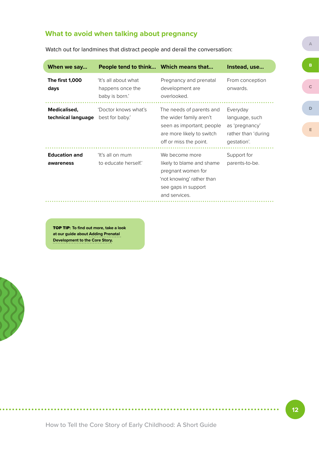### <span id="page-11-0"></span>**What to avoid when talking about pregnancy**

**When we say… People tend to think… Which means that… Instead, use… The first 1,000 days** 'It's all about what happens once the baby is born.' Pregnancy and prenatal development are overlooked. From conception onwards. **Medicalised, technical language** best for baby.' 'Doctor knows what's The needs of parents and the wider family aren't seen as important; people are more likely to switch off or miss the point. Everyday language, such as 'pregnancy' rather than 'during gestation'. **Education and awareness** 'It's all on mum to educate herself.' We become more likely to blame and shame pregnant women for 'not knowing' rather than see gaps in support and services. Support for parents-to-be.

Watch out for landmines that distract people and derail the conversation:

TOP TIP**: To find out more, take a look at our guide about [Adding Prenatal](https://colab.telethonkids.org.au/siteassets/media-docs---colab/prenatal_corestory.pdf)  [Development to the Core Story.](https://colab.telethonkids.org.au/siteassets/media-docs---colab/prenatal_corestory.pdf)**



**[B](#page-10-0)**

**[D](#page-14-0)**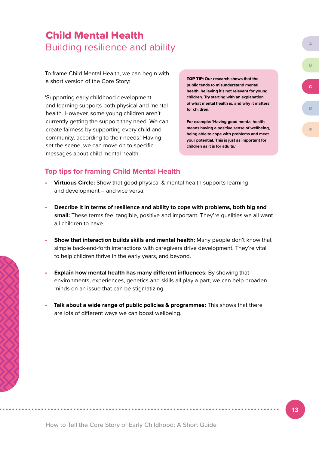## <span id="page-12-0"></span>Child Mental Health Building resilience and ability

To frame Child Mental Health, we can begin with a short version of the Core Story:

'Supporting early childhood development and learning supports both physical and mental health. However, some young children aren't currently getting the support they need. We can create fairness by supporting every child and community, according to their needs.' Having set the scene, we can move on to specific messages about child mental health.

TOP TIP**: Our research shows that the public tends to misunderstand mental health, believing it's not relevant for young children. Try starting with an explanation of what mental health is, and why it matters for children.**

**For example: 'Having good mental health means having a positive sense of wellbeing, being able to cope with problems and meet your potential. This is just as important for children as it is for adults.'**

## **Top tips for framing Child Mental Health**

- **• Virtuous Circle:** Show that good physical & mental health supports learning and development – and vice versa!
- **• Describe it in terms of resilience and ability to cope with problems, both big and small:** These terms feel tangible, positive and important. They're qualities we all want all children to have.
- **• Show that interaction builds skills and mental health:** Many people don't know that simple back-and-forth interactions with caregivers drive development. They're vital to help children thrive in the early years, and beyond.
- **• Explain how mental health has many different influences:** By showing that environments, experiences, genetics and skills all play a part, we can help broaden minds on an issue that can be stigmatizing.
- **• Talk about a wide range of public policies & programmes:** This shows that there are lots of different ways we can boost wellbeing.

**[B](#page-10-0)**

**C**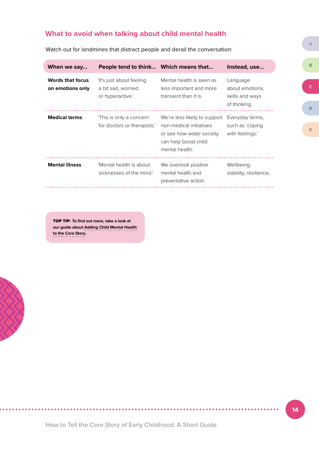## <span id="page-13-0"></span>**What to avoid when talking about child mental health**

Watch out for landmines that distract people and derail the conversation:

| When we say                                 | People tend to think Which means that                              |                                                                                                                                               | Instead, use                                                   |
|---------------------------------------------|--------------------------------------------------------------------|-----------------------------------------------------------------------------------------------------------------------------------------------|----------------------------------------------------------------|
| <b>Words that focus</b><br>on emotions only | 'It's just about feeling<br>a bit sad, worried<br>or hyperactive.' | Mental health is seen as<br>less important and more<br>transient than it is.                                                                  | Language<br>about emotions,<br>skills and ways<br>of thinking. |
| <b>Medical terms</b>                        | 'This is only a concern<br>for doctors or therapists.'             | We're less likely to support Everyday terms,<br>non-medical initiatives<br>or see how wider society<br>can help boost child<br>mental health. | such as 'coping<br>with feelings.'                             |
| <b>Mental illness</b>                       | 'Mental health is about.<br>sicknesses of the mind.'               | We overlook positive<br>mental health and<br>preventative action.                                                                             | Wellbeing,<br>stability, resilience.                           |

TOP TIP**: To find out more, take a look at our guide about [Adding Child Mental Health](https://colab.telethonkids.org.au/siteassets/media-docs---colab/childmentalhealth_corestory.pdf)  [to the Core Story.](https://colab.telethonkids.org.au/siteassets/media-docs---colab/childmentalhealth_corestory.pdf)**



ĺ

**[B](#page-10-0)**

**[D](#page-14-0)**

**[C](#page-12-0)**

How to Tell the Core Story of Early Childhood: A Short Guide

. . . . . . . . . . . . . . . . . . .

. . . . . . . . . . . .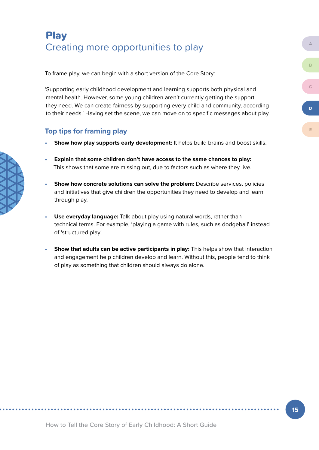## <span id="page-14-0"></span>Play Creating more opportunities to play

To frame play, we can begin with a short version of the Core Story:

'Supporting early childhood development and learning supports both physical and mental health. However, some young children aren't currently getting the support they need. We can create fairness by supporting every child and community, according to their needs.' Having set the scene, we can move on to specific messages about play.

## **Top tips for framing play**

- **Show how play supports early development:** It helps build brains and boost skills.
- **• Explain that some children don't have access to the same chances to play:**  This shows that some are missing out, due to factors such as where they live.
- **• Show how concrete solutions can solve the problem:** Describe services, policies and initiatives that give children the opportunities they need to develop and learn through play.
- **• Use everyday language:** Talk about play using natural words, rather than technical terms. For example, 'playing a game with rules, such as dodgeball' instead of 'structured play'.
- **• Show that adults can be active participants in play:** This helps show that interaction and engagement help children develop and learn. Without this, people tend to think of play as something that children should always do alone.

**[A](#page-2-0)**

**D**

**[E](#page-16-0)**

**[C](#page-12-0)**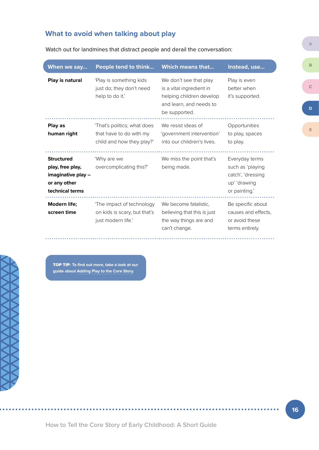## <span id="page-15-0"></span>**What to avoid when talking about play**

Watch out for landmines that distract people and derail the conversation:

| When we say                                                                                    | People tend to think                                                                | <b>Which means that</b>                                                                                                    | Instead, use                                                                             |
|------------------------------------------------------------------------------------------------|-------------------------------------------------------------------------------------|----------------------------------------------------------------------------------------------------------------------------|------------------------------------------------------------------------------------------|
| Play is natural                                                                                | 'Play is something kids<br>just do; they don't need<br>help to do it.'              | We don't see that play<br>is a vital ingredient in<br>helping children develop<br>and learn, and needs to<br>be supported. | Play is even<br>better when<br>it's supported.                                           |
| Play as<br>human right                                                                         | 'That's politics; what does<br>that have to do with my<br>child and how they play?' | We resist ideas of<br>'government intervention'<br>into our children's lives.                                              | Opportunities<br>to play, spaces<br>to play.                                             |
| <b>Structured</b><br>play, free play,<br>imaginative play -<br>or any other<br>technical terms | 'Why are we<br>overcomplicating this?'                                              | We miss the point that's<br>being made.                                                                                    | Everyday terms<br>such as 'playing<br>catch', 'dressing<br>up' 'drawing<br>or painting.' |
| Modern life;<br>screen time                                                                    | 'The impact of technology<br>on kids is scary, but that's<br>just modern life.'     | We become fatalistic,<br>believing that this is just<br>the way things are and<br>can't change.                            | Be specific about<br>causes and effects,<br>or avoid these<br>terms entirely.            |

TOP TIP**: To find out more, take a look at our guide about [Adding Play to the Core Story.](https://colab.telethonkids.org.au/siteassets/media-docs---colab/play_corestory.pdf)**

. . . . . . . . .

**[A](#page-2-0)**

**[C](#page-12-0)**

**[D](#page-14-0)**

**16**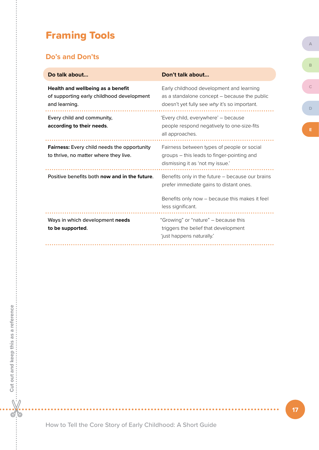## <span id="page-16-0"></span>Framing Tools

## **Do's and Don'ts**

**Cut out and keep this as a reference**

| Do talk about                                                                                   | Don't talk about                                                                                                                         |
|-------------------------------------------------------------------------------------------------|------------------------------------------------------------------------------------------------------------------------------------------|
| Health and wellbeing as a benefit<br>of supporting early childhood development<br>and learning. | Early childhood development and learning<br>as a standalone concept – because the public<br>doesn't yet fully see why it's so important. |
| Every child and community,<br>according to their needs.                                         | 'Every child, everywhere' - because<br>people respond negatively to one-size-fits<br>all approaches.                                     |
| Fairness: Every child needs the opportunity<br>to thrive, no matter where they live.            | Fairness between types of people or social<br>groups - this leads to finger-pointing and<br>dismissing it as 'not my issue.'             |
| Positive benefits both now and in the future.                                                   | Benefits only in the future - because our brains<br>prefer immediate gains to distant ones.                                              |
|                                                                                                 | Benefits only now - because this makes it feel<br>less significant.                                                                      |
| Ways in which development needs<br>to be supported.                                             | "Growing" or "nature" - because this<br>triggers the belief that development<br>'just happens naturally.'                                |

**[B](#page-10-0)**

**[A](#page-2-0)**

 $\bullet$   $\bullet$   $\bullet$ 

 $\bullet$ 

 $\ddot{\phantom{a}}$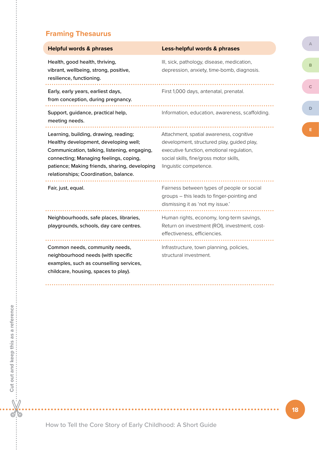<span id="page-17-0"></span>

| <b>Framing Thesaurus</b>                                                                                                                                                                                                                                           |                                                                                                                                                                                                          |
|--------------------------------------------------------------------------------------------------------------------------------------------------------------------------------------------------------------------------------------------------------------------|----------------------------------------------------------------------------------------------------------------------------------------------------------------------------------------------------------|
| <b>Helpful words &amp; phrases</b>                                                                                                                                                                                                                                 | Less-helpful words & phrases                                                                                                                                                                             |
| Health, good health, thriving,<br>vibrant, wellbeing, strong, positive,<br>resilience, functioning.                                                                                                                                                                | III, sick, pathology, disease, medication,<br>depression, anxiety, time-bomb, diagnosis.                                                                                                                 |
| Early, early years, earliest days,<br>from conception, during pregnancy.                                                                                                                                                                                           | First 1,000 days, antenatal, prenatal.                                                                                                                                                                   |
| Support, guidance, practical help,<br>meeting needs.                                                                                                                                                                                                               | Information, education, awareness, scaffolding.                                                                                                                                                          |
| Learning, building, drawing, reading;<br>Healthy development, developing well;<br>Communication, talking, listening, engaging,<br>connecting; Managing feelings, coping,<br>patience; Making friends, sharing, developing<br>relationships; Coordination, balance. | Attachment, spatial awareness, cognitive<br>development, structured play, guided play,<br>executive function, emotional regulation,<br>social skills, fine/gross motor skills,<br>linguistic competence. |
| Fair, just, equal.                                                                                                                                                                                                                                                 | Fairness between types of people or social<br>groups - this leads to finger-pointing and<br>dismissing it as 'not my issue.'                                                                             |
| Neighbourhoods, safe places, libraries,<br>playgrounds, schools, day care centres.                                                                                                                                                                                 | Human rights, economy, long-term savings,<br>Return on investment (ROI), investment, cost-<br>effectiveness, efficiencies.                                                                               |
| Common needs, community needs,<br>neighbourhood needs (with specific<br>examples, such as counselling services,<br>childcare, housing, spaces to play).                                                                                                            | Infrastructure, town planning, policies,<br>structural investment.                                                                                                                                       |

**A**

**B**

**C D**

 $\ddot{\phantom{0}}$ 

 $\bullet$  $\bullet$